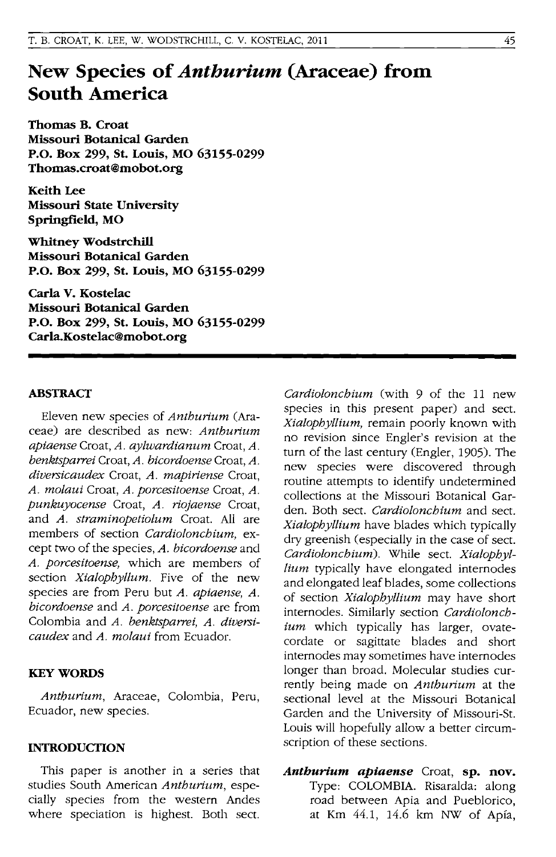# **New Species of** *Anthurium* **(Araceae) from South America**

**Thomas B. Croat Missouri Botanical Garden P.o. Box 299, St. Louis, MO 63155-0299 Thomas.croat@mobot.org** 

Keith Lee **Missouri State University Springfield, MO** 

**Whitney Wodstrchill Missouri Botanical Garden P.O. Box 299, St. Louis, MO 63155-0299** 

**Carla V. Kostelac Missouri Botanical Garden P.o. Box 299, St. Louis, MO 63155-0299 Carla.Kostelac@mobot.org** 

#### **ABSTRACT**

Eleven new species of *Anthurium* (Araceae) are described as new: *Anthurium apiaense* Croat, *A. aylwardianum* Croat, *A. benktsparrei* Croat, *A. bicordoense* Croat, *A. diversicaudex* Croat, *A. mapiriense* Croat, *A. molaui* Croat, *A. porcesitoense* Croat, *A. punkuyocense* Croat, *A. riojaense* Croat, and *A. straminopetiolum* Croat. All are members of section *Cardiolonchium,* except two of the species, *A. bicordoense* and *A. porcesitoense,* which are members of section *Xialophyllum.* Five of the new species are from Peru but *A. apiaense, A. bicordoense* and *A. porcesitoense* are from Colombia and *A. benktsparrei, A. diversicaudex* and *A. molaui* from Ecuador.

#### **KEYWORDS**

*Anthurium,* Araceae, Colombia, Peru, Ecuador, new species.

# **INTRODUCTION**

This paper is another in a series that studies South American *Anthurium,* especially species from the western Andes where speciation is highest. Both sect. *Cardiolonchium* (with 9 of the 11 new species in this present paper) and sect. *Xialophyllium,* remain poorly known with no revision since Engler's revision at the turn of the last century (Engler, 1905). The new species were discovered through routine attempts to identify undetermined collections at the Missouri Botanical Garden. Both sect. *Cardiolonchium* and sect. *Xialophyllium* have blades which typically dry greenish (especially in the case of sect. *Cardiolonchium).* While sect. *Xialophyllium* typically have elongated internodes and elongated leaf blades, some collections of section *Xialophyllium* may have short internodes. Similarly section *Cardiolonchium* which typically has larger, ovatecordate or sagittate blades and short internodes may sometimes have internodes longer than broad. Molecular studies currently being made on *Anthurium* at the sectional level at the Missouri Botanical Garden and the University of Missouri-St. Louis will hopefully allow a better circumscription of these sections.

*Antburium apiaense* Croat, **sp. nov.**  Type: COLOMBIA. Risaralda: along road between Apia and Pueblorico, at Km 44.1, 14.6 km NW of Apia,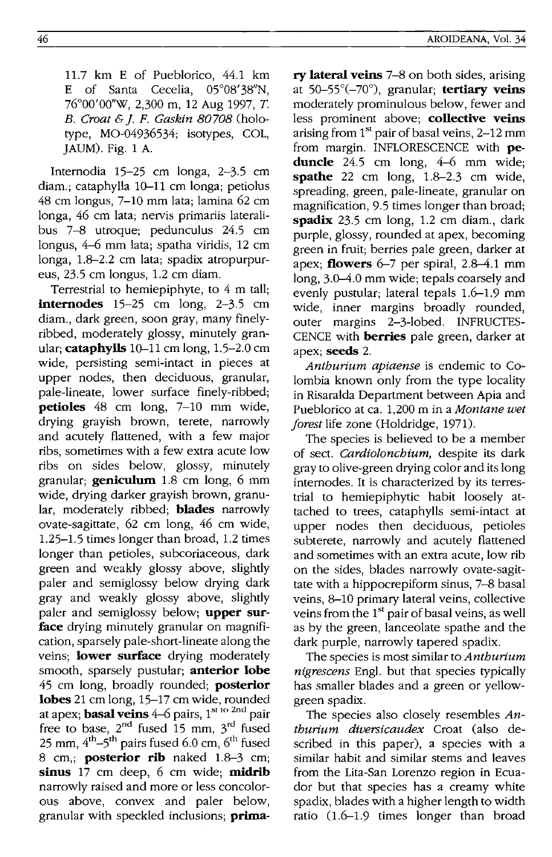11.7 km E of Pueblorico, 44.1 km E of Santa Cecelia, 05°08'38"N, 76°00'OO"W, 2,300 m, 12 Aug 1997, *T. B. Croat* & j. F. *Gaskin 80708* (holotype, MO-04936534; isotypes, COL, JAUM). Fig. 1 A.

Internodia 15-25 cm longa, 2-3.5 cm diam.; cataphylla 10-11 cm longa; petiolus 48 cm longus, 7-10 mm lata; lamina 62 cm longa, 46 cm lata; nervis primariis lateralibus 7-8 utroque; pedunculus 24.5 cm longus, 4-6 mm lata; spatha viridis, 12 cm longa, 1.8-2.2 cm lata; spadix atropurpureus, 23.5 cm longus, 1.2 cm diam.

Terrestrial to hemiepiphyte, to 4 m tall; **internodes** 15-25 cm long, 2-3.5 cm diam., dark green, soon gray, many finelyribbed, moderately glossy, minutely granular; **cataphylls** 10-11 cm long, 1.5-2.0 cm wide, persisting semi-intact in pieces at upper nodes, then deciduous, granular, pale-lineate, lower surface finely-ribbed; **petioles** 48 cm long, 7-10 mm wide, drying grayish brown, terete, narrowly and acutely flattened, with a few major ribs, sometimes with a few extra acute low ribs on sides below, glossy, minutely granular; **geniculum** 1.8 cm long, 6 mm wide, drying darker grayish brown, granular, moderately ribbed; **blades** narrowly ovate-sagittate, 62 cm long, 46 cm wide, 1.25-1.5 times longer than broad, 1.2 times longer than petioles, subcoriaceous, dark green and weakly glossy above, slightly paler and semiglossy below drying dark gray and weakly glossy above, slightly paler and semiglossy below; **upper surface** drying minutely granular on magnification, sparsely pale-short-lineate along the veins; **lower surface** drying moderately smooth, sparsely pustular; **anterior lobe**  45 cm long, broadly rounded; **posterior lobes** 21 cm long, 15-17 cm wide, rounded at apex; **basal veins** 4–6 pairs, 1<sup>st to 2nd</sup> pair free to base,  $2^{nd}$  fused 15 mm,  $3^{rd}$  fused 25 mm,  $4<sup>th</sup>-5<sup>th</sup>$  pairs fused 6.0 cm,  $6<sup>th</sup>$  fused 8 cm,; **posterior rib** naked 1.8-3 cm; **sinus** 17 cm deep, 6 cm wide; **midrib**  narrowly raised and more or less concolorous above, convex and paler below, granular with speckled inclusions; **prima-** **ry lateral veins** 7-8 on both sides, arising at 50-55°(-70°), granular; **tertiary veins**  moderately prominulous below, fewer and less prominent above; **collective veins**  arising from  $1<sup>st</sup>$  pair of basal veins, 2–12 mm from margin. INFLORESCENCE with **peduncle** 24.5 cm long, 4-6 mm wide; **spathe** 22 cm long, 1.8-2.3 cm wide, spreading, green, pale-lineate, granular on magnification, 9.5 times longer than broad; **spadix** 23.5 cm long, 1.2 cm diam., dark purple, glossy, rounded at apex, becoming green in fruit; berries pale green, darker at apex; **flowers** 6-7 per spiral, 2.8-4.1 mm long, 3.0-4.0 mm wide; tepals coarsely and evenly pustular; lateral tepals 1.6-1.9 mm wide, inner margins broadly rounded, outer margins 2-3-lobed. INFRUCTES-CENCE with **berries** pale green, darker at apex; **seeds** 2.

*Anthurium apiaense* is endemic to Colombia known only from the type locality in Risaralda Department between Apia and Pueblorico at ca. 1,200 m in a *Montane wet forest* life zone (Holdridge, 1971).

The species is believed to be a member of sect. *Cardiolonchium,* despite its dark gray to olive-green drying color and its long internodes. It is characterized by its terrestrial to hemiepiphytic habit loosely attached to trees, cataphylls semi-intact at upper nodes then deciduous, petioles subterete, narrowly and acutely flattened and sometimes with an extra acute, low rib on the sides, blades narrowly ovate-sagittate with a hippocrepiform sinus, 7-8 basal veins, 8-10 primary lateral veins, collective veins from the  $1<sup>st</sup>$  pair of basal veins, as well as by the green, lanceolate spathe and the dark purple, narrowly tapered spadix.

The species is most similar to *A nthurium nigrescens* Eng!. but that species typically has smaller blades and a green or yellowgreen spadix.

The species also closely resembles *Anthurium diversicaudex* Croat (also described in this paper), a species with a similar habit and similar stems and leaves from the Lita-San Lorenzo region in Ecuador but that species has a creamy white spadix, blades with a higher length to width ratio  $(1.6-1.9)$  times longer than broad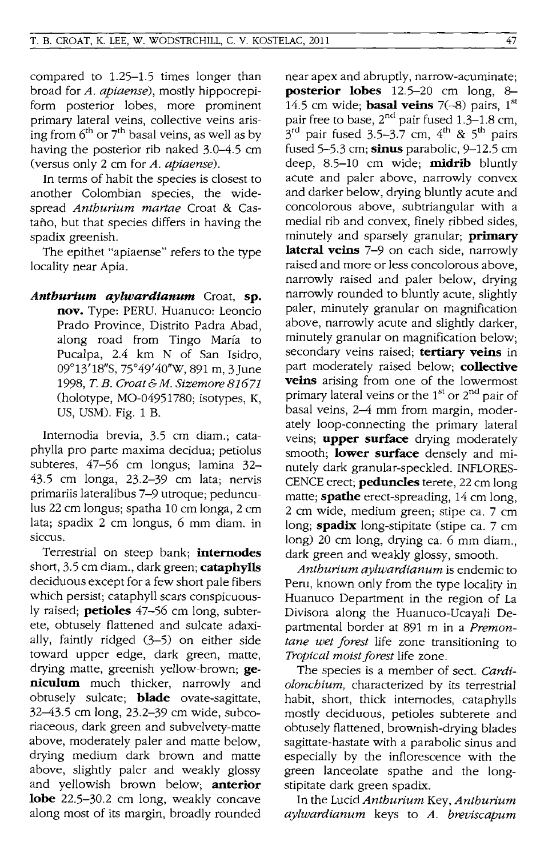compared to 1.25-1.5 times longer than broad for *A. apiaense),* mostly hippocrepiform posterior lobes, more prominent primary lateral veins, collective veins arising from  $6<sup>th</sup>$  or  $7<sup>th</sup>$  basal veins, as well as by having the posterior rib naked 3.0-4.5 cm (versus only 2 cm for *A. apiaense).* 

In terms of habit the species is closest to another Colombian species, the widespread *Anthurium martae* Croat & Castano, but that species differs in having the spadix greenish.

The epithet "apiaense" refers to the type locality near Apia.

*Anthurium aylwardianum* Croat, **sp. nov.** Type: PERU. Huanuco: Leoncio Prado Province, Distrito Padra Abad, along road from Tingo Marfa to Pucalpa, 2.4 km N of San Isidro, 09°13'18"S, 75°49'40''W, 891 m, 3 June *1998,* T. *B. Croat&M. Sizemore* 81671 (holotype, MO-04951780; isotypes, K, US, USM). Fig. 1 B.

Internodia brevia, 3.5 cm diam.; cataphylla pro parte maxima decidua; petiolus subteres, 47-56 cm longus; lamina 32- 43.5 cm longa, 23.2-39 cm lata; nervis primariis lateralibus 7-9 utroque; pedunculus 22 cm longus; spatha 10 cm longa, 2 cm lata; spadix 2 cm longus, 6 mm diam. in siccus.

Terrestrial on steep bank; **internodes**  short, 3.5 cm diam., dark green; **cataphylls**  deciduous except for a few short pale fibers which persist; cataphyll scars conspicuously raised; **petioles** 47-56 cm long, subterete, obtusely flattened and sulcate adaxially, faintly ridged (3-5) on either side toward upper edge, dark green, matte, drying matte, greenish yellow-brown; **geniculum** much thicker, narrowly and obtusely sulcate; **blade** ovate-sagittate, 32-43.5 cm long, 23.2-39 cm wide, subcoriaceous, dark green and subvelvety-matte above, moderately paler and matte below, drying medium dark brown and matte above, slightly paler and weakly glossy and yellowish brown below; **anterior lobe** 22.5-30.2 cm long, weakly concave along most of its margin, broadly rounded

near apex and abruptly, narrow-acuminate; **posterior lobes** 12.5-20 cm long, 8- 14.5 cm wide; **basal veins** 7(-8) pairs, 1st pair free to base, 2<sup>nd</sup> pair fused 1.3-1.8 cm,  $3^{\text{rd}}$  pair fused 3.5–3.7 cm,  $4^{\text{th}}$  & 5<sup>th</sup> pairs fused 5-5.3 cm; **sinus** parabolic, 9-12.5 cm deep, 8.5-10 cm wide; **midrib** bluntly acute and paler above, narrowly convex and darker below, drying bluntly acute and concolorous above, subtriangular with a medial rib and convex, finely ribbed sides, minutely and sparsely granular; **primary lateral veins** 7-9 on each side, narrowly raised and more or less concolorous above, narrowly raised and paler below, drying narrowly rounded to bluntly acute, slightly paler, minutely granular on magnification above, narrowly acute and slightly darker, minutely granular on magnification below; secondary veins raised; **tertiary veins** in part moderately raised below; **collective veins** arising from one of the lowermost primary lateral veins or the  $1<sup>st</sup>$  or  $2<sup>nd</sup>$  pair of basal veins, 2-4 mm from margin, moderately loop-connecting the primary lateral veins; **upper surface** drying moderately smooth; **lower surface** densely and minutely dark granular-speckled. INFLORES-CENCE erect; **peduncles** terete, 22 cm long matte; **spathe** erect-spreading, 14 cm long, 2 cm wide, medium green; stipe ca. 7 cm long; **spadix** long-stipitate (stipe ca. 7 cm long) 20 cm long, drying ca. 6 mm diam., dark green and weakly glossy, smooth.

*Anthurium aylwardianum* is endemic to Peru, known only from the type locality in Huanuco Department in the region of La Divisora along the Huanuco-Ucayali Departmental border at 891 m in a *Premontane wet forest* life zone transitioning to *Tropical moist forest* life zone.

The species is a member of sect. *Cardiolonchium,* characterized by its terrestrial habit, short, thick internodes, cataphylls mostly deciduous, petioles subterete and obtusely flattened, brownish-drying blades sagittate-hastate with a parabolic sinus and especially by the inflorescence with the green lanceolate spathe and the longstipitate dark green spadix.

In the Lucid *Anthurium* Key, *Anthurium aylwardianum* keys to *A. breviscapum*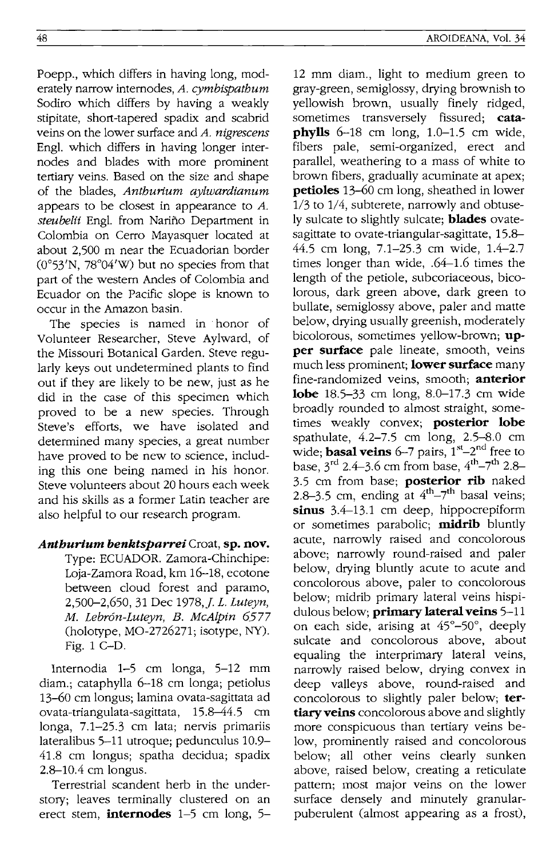Poepp., which differs in having long, moderately narrow internodes, *A. cymbispathum*  Sodiro which differs by having a weakly stipitate, short-tapered spadix and scabrid veins on the lower surface and *A. nigrescens*  Eng!. which differs in having longer internodes and blades with more prominent tertiary veins. Based on the size and shape of the blades, *Anthurium aylwardianum*  appears to be closest in appearance to *A.*  steubelii Engl. from Nariño Department in Colombia on Cerro Mayasquer located at about 2,500 m near the Ecuadorian border  $(0°53'N, 78°04'W)$  but no species from that part of the western Andes of Colombia and Ecuador on the Pacific slope is known to occur in the Amazon basin.

The species is named in honor of Volunteer Researcher, Steve Aylward, of the Missouri Botanical Garden. Steve regularly keys out undetermined plants to find out if they are likely to be new, just as he did in the case of this specimen which proved to be a new species. Through Steve's efforts, we have isolated and determined many species, a great number have proved to be new to science, including this one being named in his honor. Steve volunteers about 20 hours each week and his skills as a former Latin teacher are also helpful to our research program.

### *Anthurium benktsparrei* Croat, **sp. nov.**

Type: ECUADOR. Zamora-Chinchipe: Loja-Zamora Road, km 16-18, ecotone between cloud forest and paramo, 2,500-2,650, 31 Dec 1978,]. L. *Luteyn, M. Lebron-Luteyn, B. McAlpin 6577*   $(holotype, MO-2726271; isotype, NY).$ Fig. 1 C-D.

lnternodia 1-5 cm longa, 5-12 mm diam.; cataphylla 6-18 cm longa; petiolus 13-60 cm longus; lamina ovata-sagittata ad ovata-triangulata-sagittata, 15.8-44.5 cm longa, 7.1-25.3 cm lata; nervis primariis lateralibus 5-11 utroque; pedunculus 10.9- 41.8 cm longus; spatha decidua; spadix 2.8-10.4 cm longus.

Terrestrial scandent herb in the understory; leaves terminally clustered on an erect stem, **internodes** 1-5 cm long, 5-

12 mm diam., light to medium green to gray-green, semiglossy, drying brownish to yellOWish brown, usually finely ridged, sometimes transversely fissured; **cataphylls** 6-18 cm long, 1.0-1.5 cm wide, fibers pale, semi-organized, erect and parallel, weathering to a mass of white to brown fibers, gradually acuminate at apex; **petioles** 13-60 cm long, sheathed in lower 1/3 to 1/4, subterete, narrowly and obtusely sulcate to slightly sulcate; **blades** ovatesagittate to ovate-triangular-sagittate, 15.8- 44.5 cm long, 7.1-25.3 cm wide, 1.4-2.7 times longer than wide, .64-1.6 times the length of the petiole, subcoriaceous, bicolorous, dark green above, dark green to bullate, semiglossy above, paler and matte below, drying usually greenish, moderately bicolorous, sometimes yellow-brown; **upper surface** pale lineate, smooth, veins much less prominent; **lower surface** many fine-randomized veins, smooth; **anterior lobe** 18.5-33 cm long, 8.0-17.3 cm wide broadly rounded to almost straight, sometimes weakly convex; **posterior lobe**  spathulate, 4.2-7.5 cm long, 2.5-8.0 cm wide; **basal veins** 6-7 pairs, 1<sup>st</sup>-2<sup>nd</sup> free to base,  $3^{rd}$  2.4-3.6 cm from base,  $4^{th}$ -7<sup>th</sup> 2.8-3.5 cm from base; **posterior rib** naked 2.8-3.5 cm, ending at  $4<sup>th</sup>-7<sup>th</sup>$  basal veins; **sinus** 3.4-13.1 cm deep, hippocrepiform or sometimes parabolic; **midrib** bluntly acute, narrowly raised and concolorous above; narrowly round-raised and paler below, drying bluntly acute to acute and concolorous above, paler to concolorous below; midrib primary lateral veins hispidulous below; **primary lateral veins** 5-11 on each side, arising at 45°-50°, deeply sulcate and concolorous above, about equaling the interprimary lateral veins, narrowly raised below, drying convex in deep valleys above, round-raised and concolorous to slightly paler below; **tertiary veins** concolorous above and slightly more conspicuous than tertiary veins below, prominently raised and concolorous below; all other veins clearly sunken above, raised below, creating a reticulate pattern; most major veins on the lower surface densely and minutely granularpuberulent (almost appearing as a frost),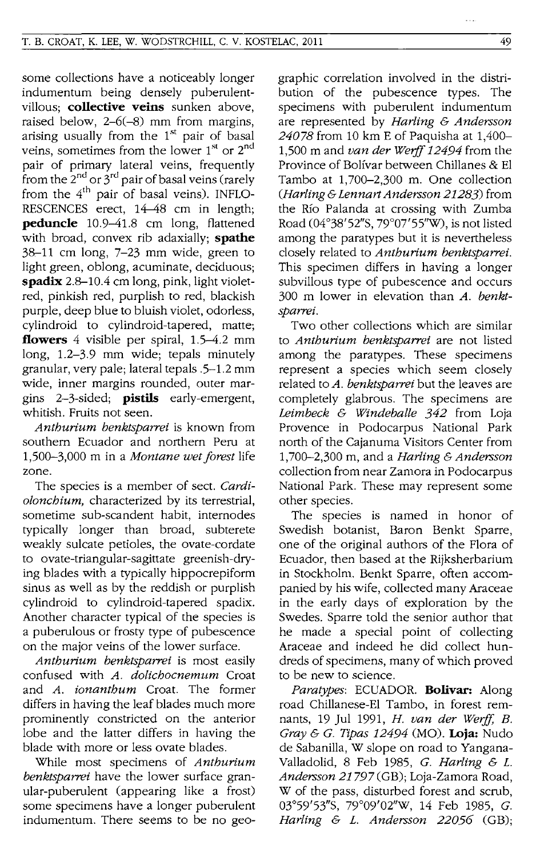some collections have a noticeably longer indumentum being densely puberulentvillous; **collective veins** sunken above, raised below, 2-6(-8) mm from margins, arising usually from the  $1<sup>st</sup>$  pair of basal veins, sometimes from the lower  $1<sup>st</sup>$  or  $2<sup>nd</sup>$ pair of primary lateral veins, frequently from the  $2^{nd}$  or  $3^{rd}$  pair of basal veins (rarely from the  $4<sup>th</sup>$  pair of basal veins). INFLO-RESCENCES erect, 14-48 cm in length; **peduncle** 10.9-41.8 cm long, flattened with broad, convex rib adaxially; **spathe**  3&-11 cm long, 7-23 mm wide, green to light green, oblong, acuminate, deciduous; **spadix** 2.8-10.4 cm long, pink, light violetred, pinkish red, purplish to red, blackish purple, deep blue to bluish violet, odorless, cylindroid to cylindroid-tapered, matte; **flowers** 4 visible per spiral, 1.5-4.2 mm long, 1.2-3.9 mm wide; tepals minutely granular, very pale; lateral tepals .5-1.2 mm wide, inner margins rounded, outer margins 2-3-sided; **pistils** early-emergent, whitish. Fruits not seen.

*Antburium benktsparrei* is known from southern Ecuador and northern Peru at 1,500-3,000 m in a *Montane wet forest* life zone.

The species is a member of sect. *Cardioloncbium,* characterized by its terrestrial, sometime sub-scandent habit, internodes typically longer than broad, subterete weakly sulcate petioles, the ovate-cordate to ovate-triangular-sagittate greenish-drying blades with a typically hippocrepiform sinus as well as by the reddish or purplish cylindroid to cylindroid-tapered spadix. Another character typical of the species is a puberulous or frosty type of pubescence on the major veins of the lower surface.

*Antburium benktsparrei* is most easily confused with *A. dolicbocnemum* Croat and *A. ionantbum* Croat. The former differs in having the leaf blades much more prominently constricted on the anterior lobe and the latter differs in having the blade with more or less ovate blades.

While most specimens of *Antburium benktsparrei* have the lower surface granular-puberulent (appearing like a frost) some specimens have a longer puberulent indumentum. There seems to be no geographic correlation involved in the distribution of the pubescence types. The specimens with puberulent indumentum are represented by *Harling* & *Andersson 24078* from 10 km E of Paquisha at 1,400- 1,500 m and *van der Weiff* 12494 from the Province of Bolfvar between Chillanes & EI Tambo at 1,700-2,300 m. One collection *(Harling* & *Lennart Andersson* 21283) from the Rio Palanda at crossing with Zumba Road (04°38' 52"S, 79°07'55''W), is not listed among the paratypes but it is nevertheless closely related to *Antburium benktsparrei.*  This specimen differs in having a longer subvillous type of pubescence and occurs 300 m lower in elevation than *A. benktsparrei.* 

Two other collections which are similar to *Antburium benktsparrei* are not listed among the paratypes. These specimens represent a species which seem closely related to *A. benktsparrei* but the leaves are completely glabrous. The specimens are *Leimbeck* & *Windeballe* 342 from Loja Provence in Podocarpus National Park north of the Cajanuma Visitors Center from 1,700-2,300 m, and a *Harling* & *Andersson*  collection from near Zamora in Podocarpus National Park. These may represent some other species.

The species is named in honor of Swedish botanist, Baron Benkt Sparre, one of the original authors of the Flora of Ecuador, then based at the Rijksherbarium in Stockholm. Benkt Sparre, often accompanied by his wife, collected many Araceae in the early days of exploration by the Swedes. Sparre told the senior author that he made a special point of collecting Araceae and indeed he did collect hundreds of specimens, many of which proved to be new to science.

*Paratypes:* ECUADOR. **Bolivar:** Along road Chillanese-EI Tambo, in forest remnants, 19 Jul 1991, *H. van der weiff, B.*  Gray & G. *Tipas* 12494 (MO). **Loja:** Nudo de Sabanilla, W slope on road to Yangana-Valladolid, 8 Feb 1985, *G. Harling* & *L. Andersson* 21797(GB); Loja-Zamora Road, W of the pass, disturbed forest and scrub, 03°59'53"S, 79°09'02''W, 14 Feb 1985, G. *Harling* & *L. Andersson 22056* (GB);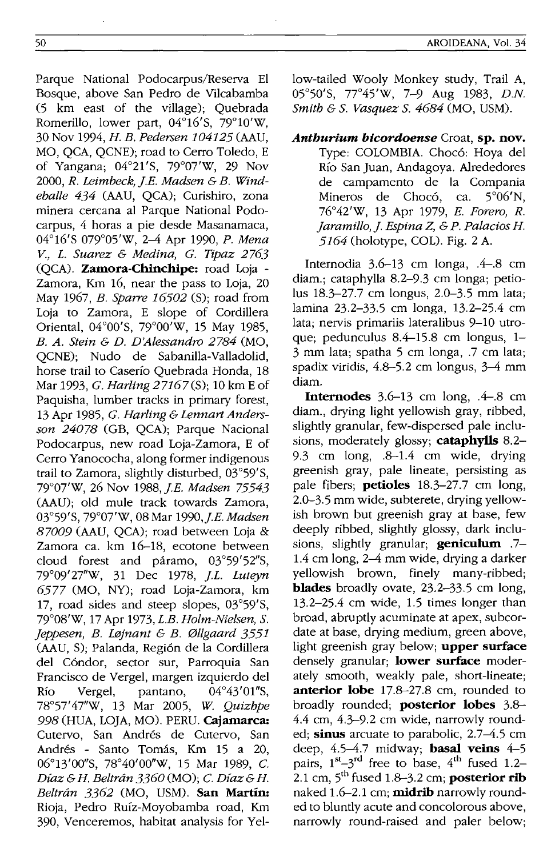Parque National Podoearpus/Reserva EI Bosque, above San Pedro de Vileabamba (5 km east of the village); Quebrada Romerillo, lower part, 04°16'S, 79°1O'W, 30 Nov 1994, H. *B. Pedersen 104125* (AAU, MO, QCA, QCNE); road to Cerro Toledo, E of Yangana; 04°21'S, 79°07'W, 29 Nov *2000, R. Leimbeck, j.E. Madsen* & *B. Windeballe* 434 (AAU, QCA); Curishiro, zona minera eereana al Parque National Podocarpus, 4 horas a pie desde Masanamaea, 04°16's 079°05'W, 2-4 Apr 1990, *P. Mena V., L. Suarez* & *Medina,* G. *Tipaz 2763*  (QCA). **Zamora-Chinchipe:** road Loja - Zamora, Km 16, near the pass to Loja, 20 May 1967, *B. Sparre 16502* (S); road from Loja to Zamora, E slope of Cordillera Oriental, 04°00'S, 79°00'W, 15 May 1985, *B. A. Stein* & *D. D'Alessandro* 2784 (MO, QCNE); Nudo de Sabanilla-Valladolid, horse trail to Caserio Quebrada Honda, 18 Mar 1993, G. *Harling* 27167(S); 10 km E of Paquisha, lumber tracks in primary forest, 13 Apr 1985, G. *Harling* & *Lermart Andersson 24078* (GB, QCA); Parque Nacional Podoearpus, new road Loja-Zamora, E of Cerro Yanoeoeha, along former indigenous trail to Zamora, slightly disturbed, 03°59'S, 79°07'W, 26 Nov 1988, *j.E. Madsen 75543*  (AAU); old mule track towards Zamora, 03°59'S, 79°07'W, 08 Mar *1990,j.E. Madsen 87009* (AAU, QCA); road between Loja & Zamora ca. km 16-18, ecotone between cloud forest and paramo, 03°59'52"S, 79°09' 27"W, 31 Dec 1978, *j.L. Luteyn*  6577 (MO, NY); road Loja-Zamora, km 17, road sides and steep slopes, 03°59'S, 79°08'W, 17 Apr 1973, *L.B. Holm-Nielsen,* S. *Jeppesen, B. L{Jjnant* & *B. 0llgaard 3551*  (AAU, S); Palanda, Regi6n de la Cordillera del C6ndor, sector sur, Parroquia San Francisco de Vergel, margen izquierdo del Rio Vergel, pantano, 04°43'01"S, 78°57' 47"W, 13 Mar 2005, *W. Quizhpe*  998 (HUA, LOJA, MO). PERU. **Cajamarca:**  Cutervo, San Andrés de Cutervo, San Andrés - Santo Tomás, Km 15 a 20, 06°13'00"S, 78°40'00"W, 15 Mar 1989, C. *Diaz* & H. *Beltran 3360* (MO); c. *Diaz* & H. *Beltran* 3362 (MO, USM). **San Martin:**  Rioja, Pedro Ruíz-Moyobamba road, Km 390, Veneeremos, habitat analysis for Yellow-tailed Wooly Monkey study, Trail A, 05°50'S, 7T45'W, 7-9 Aug 1983, *D.N. Smith* & S. *Vasquez* S. 4684 (MO, USM).

# *Anthurium bicordoense* Croat, **sp. nov.**  Type: COLOMBIA. Chocó: Hoya del Rio San Juan, Andagoya. Alrededores de eampamento de la Compania Mineros de Chocó, ca. 5°06'N, 76°42'W, 13 Apr 1979, *E. Forero, R. jaramillo, j. Espina* Z, & *P. Palacios* H. 5164 (holotype, COL). Fig. 2 A.

Intemodia 3.6-13 em longa, .4-.8 em diam.; eataphylla 8.2-9.3 em longa; petiolus 18.3-27.7 em longus, 2.0-3.5 mm lata; lamina 23.2-33.5 em longa, 13.2-25.4 em lata; nervis primariis lateralibus 9-10 utroque; pedunculus 8.4-15.8 em longus, 1- 3 mm lata; spatha 5 em longa, .7 em lata; spadix viridis,  $4.8-5.2$  cm longus,  $3-4$  mm diam.

**Internodes** 3.6-13 em long, .4-.8 em diam., drying light yellowish gray, ribbed, slightly granular, few-dispersed pale inclusions, moderately glossy; **cataphylls** 8.2- 9.3 em long, .8-1.4 em wide, drying greenish gray, pale lineate, persisting as pale fibers; **petioles** 18.3-27.7 em long, 2.0-3.5 mm wide, subterete, drying yellowish brown but greenish gray at base, few deeply ribbed, slightly glossy, dark inclusions, slightly granular; **geniculum** .7- 1.4 em long, 2-4 mm wide, drying a darker yellowish brown, finely many-ribbed; **blades** broadly ovate, 23.2-33.5 em long, 13.2-25.4 em wide, 1.5 times longer than broad, abruptly acuminate at apex, subeordate at base, drying medium, green above, light greenish gray below; **upper surface**  densely granular; **lower surface** moderately smooth, weakly pale, short-lineate; **anterior lobe** 17.8-27.8 em, rounded to broadly rounded; **posterior lobes** 3.8- 4.4 em, 4.3-9.2 em wide, narrowly rounded; **sinus** arcuate to parabolic, 2.7-4.5 em deep, 4.5-4.7 midway; **basal veins** 4-5 pairs,  $1^{st} - 3^{rd}$  free to base,  $4^{th}$  fused 1.2-2.1 cm,  $5<sup>th</sup>$  fused 1.8–3.2 cm; **posterior rib** naked 1.6-2.1 em; **midrib** narrowly rounded to bluntly acute and eoneolorous above, narrowly round-raised and paler below;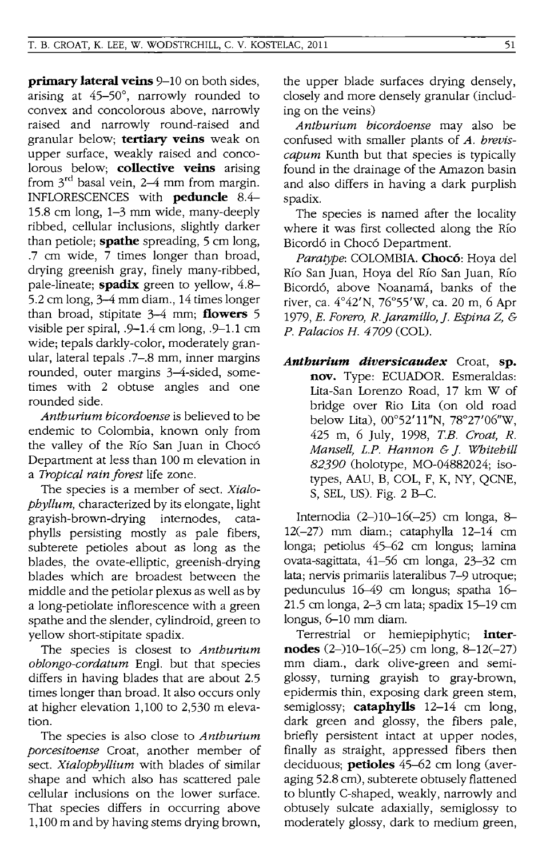**primary lateral veins** 9-10 on both sides, arising at 45-50°, narrowly rounded to convex and concolorous above, narrowly raised and narrowly round-raised and granular below; **tertiary veins** weak on upper surface, weakly raised and concolorous below; **collective veins** arising from  $3^{rd}$  basal vein, 2–4 mm from margin. INFLORESCENCES with **peduncle** 8.4- 15.8 cm long, 1-3 mm wide, many-deeply ribbed, cellular inclusions, slightly darker than petiole; **spathe** spreading, 5 cm long, .7 cm wide, 7 times longer than broad, drying greenish gray, finely many-ribbed, pale-lineate; **spadix** green to yellow, 4.8- 5.2 cm long, 3-4 mm diam., 14 times longer than broad, stipitate 3-4 mm; **flowers** 5 visible per spiral, .9-1.4 cm long, .9-1.1 cm wide; tepals darkly-color, moderately granular, lateral tepals .7-.8 mm, inner margins rounded, outer margins 3-4-sided, sometimes with 2 obtuse angles and one rounded side.

*Anthurium bicordoense* is believed to be endemic to Colombia, known only from the valley of the Río San Juan in Chocó Department at less than 100 m elevation in a *Tropical rain forest* life zone.

The species is a member of sect. *Xialophyllum,* characterized by its elongate, light grayish-brown-drying internodes, cataphylls persisting mostly as pale fibers, subterete petioles about as long as the blades, the ovate-elliptic, greenish-drying blades which are broadest between the middle and the petiolar plexus as well as by a long-petiolate inflorescence with a green spathe and the slender, cylindroid, green to yellow short-stipitate spadix.

The species is closest to *Anthurium oblongo-cordatum* Eng!. but that species differs in having blades that are about 2.5 times longer than broad. It also occurs only at higher elevation 1,100 to 2,530 m elevation.

The species is also close to *Anthurium porcesitoense* Croat, another member of sect. *Xialophyllium* with blades of similar shape and which also has scattered pale cellular inclusions on the lower surface. That species differs in occurring above 1,100 m and by having stems drying brown,

the upper blade surfaces drying densely, closely and more densely granular (including on the veins)

*Anthurium bicordoense* may also be confused with smaller plants of *A. breviscapum* Kunth but that species is typically found in the drainage of the Amazon basin and also differs in having a dark purplish spadix.

The species is named after the locality where it was first collected along the Río Bicord6 in Choc6 Department.

*Paratype:* COLOMBIA. **Choco:** Hoya del Río San Juan, Hoya del Río San Juan, Río Bicordó, above Noanamá, banks of the river, ca. 4°42'N, 76°55'W, ca. 20 m, 6 Apr *1979, E. Forero, R.Jaramillo,j. Espina* Z, & *P. Palacios H. 4709* (COL).

*Anthurium diversicaudex* Croat, **sp. nov.** Type: ECUADOR. Esmeraldas: Lita-San Lorenzo Road, 17 km W of bridge over Rio Lita (on old road below Lita),  $00^{\circ}52'11''N$ ,  $78^{\circ}27'06''W$ , 425 m, 6 July, 1998, *TE. Croat, R. Mansell, L.P. Hannon* & *j. Whitehill 82390* (holotype, MO-04882024; isotypes, AAU, B, COL, F, K, NY, QCNE, S, SEL, US). Fig. 2 B-C.

Internodia (2-)10-16(-25) cm longa, 8-12(-27) mm diam.; cataphylla 12-14 cm longa; petiolus 45-62 em longus; lamina ovata-sagittata, 41-56 em longa, 23--32 cm lata; nervis primariis lateralibus 7-9 utroque; pedunculus 16-49 em longus; spatha 16- 21.5 cm longa, 2-3 em lata; spadix 15-19 cm longus, 6-10 mm diam.

Terrestrial or hemiepiphytic; **internodes**  $(2-)10-16(-25)$  cm long,  $8-12(-27)$ mm diam., dark olive-green and semiglossy, turning grayish to gray-brown, epidermis thin, exposing dark green stem, semiglossy; **cataphylls** 12-14 cm long, dark green and glossy, the fibers pale, briefly persistent intact at upper nodes, finally as straight, appressed fibers then deciduous; **petioles** 45-62 cm long (averaging 52.8 cm), subterete obtusely flattened to bluntly C-shaped, weakly, narrowly and obtusely sulcate adaxially, semiglossy to moderately glossy, dark to medium green,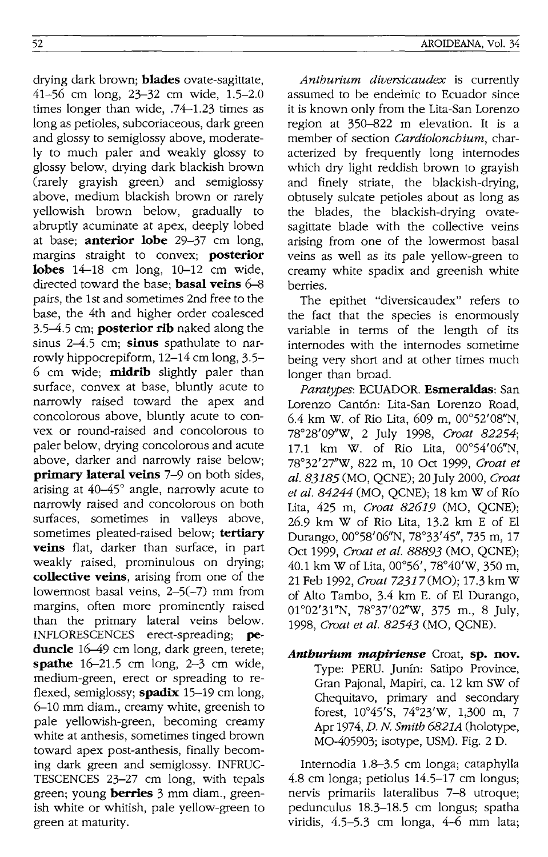drying dark brown; **blades** ovate-sagittate, 41-56 cm long, 23-32 cm wide, 1.5-2.0 times longer than wide, .74-1.23 times as long as petioles, subcoriaceous, dark green and glossy to semiglossy above, moderately to much paler and weakly glossy to glossy below, drying dark blackish brown (rarely grayish green) and semiglossy above, medium blackish brown or rarely yellowish brown below, gradually to abruptly acuminate at apex, deeply lobed at base; **anterior lobe** 29-37 cm long, margins straight to convex; **posterior lobes** 14-18 cm long, 10-12 cm wide, directed toward the base; **basal veins** 6-8 pairs, the 1st and sometimes 2nd free to the base, the 4th and higher order coalesced 3.5-4.5 cm; **posterior rib** naked along the sinus 2-4.5 cm; **sinus** spathulate to narrowly hippocrepiform, 12-14 cm long, 3.5- 6 cm wide; **midrib** slightly paler than surface, convex at base, bluntly acute to narrowly raised toward the apex and concolorous above, bluntly acute to convex or round-raised and concolorous to paler below, drying concolorous and acute above, darker and narrowly raise below; **primary lateral veins** 7-9 on both sides, arising at 40-45° angle, narrowly acute to narrowly raised and concolorous on both surfaces, sometimes in valleys above, sometimes pleated-raised below; **tertiary veins** flat, darker than surface, in part weakly raised, prominulous on drying; **collective** veins, arising from one of the lowermost basal veins, 2-5(-7) mm from margins, often more prominently raised than the primary lateral veins below. INFLORESCENCES erect-spreading; **peduncle** 16-49 cm long, dark green, terete; **spathe** 16-21.5 cm long, 2-3 cm wide, medium-green, erect or spreading to reflexed, semiglossy; **spadix** 15-19 cm long, 6-10 mm diam., creamy white, greenish to pale yellowish-green, becoming creamy white at anthesis, sometimes tinged brown toward apex post-anthesis, finally becoming dark green and semiglossy. INFRUC-TESCENCES 23-27 cm long, with tepals green; young **berries** 3 mm diam., greenish white or whitish, pale yellow-green to green at maturity.

*Anthurium diversicaudex* is currently assumed to be endemic to Ecuador since it is known only from the Lita-San Lorenzo region at 350-822 m elevation. It is a member of section *Cardiolonchium,* characterized by frequently long internodes which dry light reddish brown to grayish and finely striate, the blackish-drying, obtusely sulcate petioles about as long as the blades, the blackish-drying ovatesagittate blade with the collective veins arising from one of the lowermost basal veins as well as its pale yellow-green to creamy white spadix and greenish white berries.

The epithet "diversicaudex" refers to the fact that the species is enormously variable in terms of the length of its internodes with the internodes sometime being very short and at other times much longer than broad.

*Paratypes:* ECUADOR. **Esmeraldas:** San Lorenzo Cantón: Lita-San Lorenzo Road, 6.4 km W. of Rio Lita, 609 m,  $00^{\circ}52'08''N$ , 78°28'09"W, 2 July 1998, *Croat 82254;*  17.1 km W. of Rio Lita, 00°54'06"N, 78°32'27''W, 822 m, 10 Oct 1999, *Croat et al.* 83185 (MO, QCNE); 20 July 2000, *Croat et al.* 84244 (MO, QCNE); 18 km W of RIO Lita, 425 m, *Croat* 82619 (MO, QCNE); 26.9 km W of Rio Lita, 13.2 km E of EI Durango, 00°58'06"N, 78°33'45", 735 m, 17 Oct 1999, *Croat et at.* 88893 (MO, QCNE); 40.1 km W of Lita, 00°56', 78°40'W, 350 m, 21 Feb 1992, *Croat* 72317(MO); 17.3 km W of Alto Tambo, 3.4 km E. of EI Durango, 01°02'31"N, 78°37'02''W, 375 m., 8 July, 1998, *Croat et al.* 82543 (MO, QCNE).

*Anthurium mapiriense* Croat, **sp. nov.**  Type: PERU. Junfn: Satipo Province, Gran Pajonal, Mapiri, ca. 12 km SW of Chequitavo, primary and secondary forest, 10°45'S, 74°23'W, 1,300 m, 7 Apr 1974, *D.* N. *Smith 6821A* (holotype, MO-405903; isotype, USM). Fig. 2 D.

Internodia 1.8-3.5 cm longa; cataphylla 4.8 cm longa; petiolus 14.5-17 cm longus; nervis primariis lateralibus 7-8 utroque; pedunculus 18.3-18.5 cm longus; spatha viridis, 4.5-5.3 cm longa, 4-6 mm lata;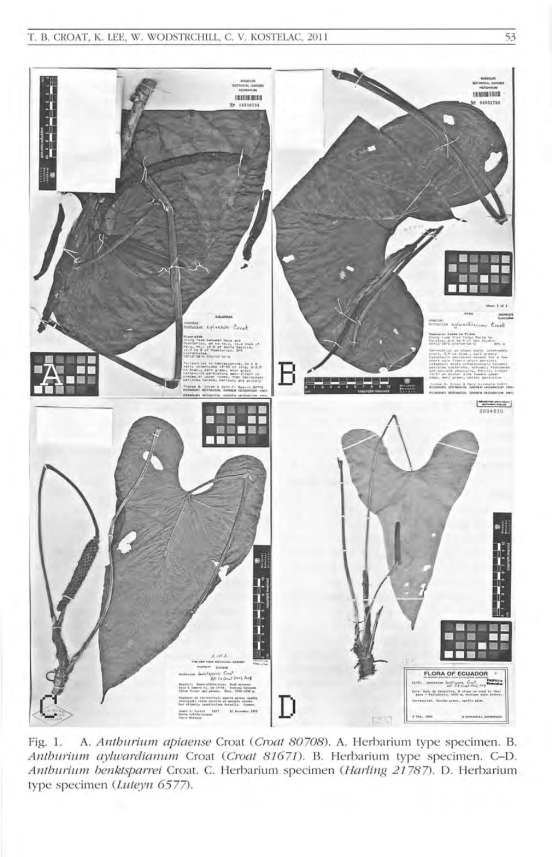

Fig. 1. A. Anthurium apiaense Croat (Croat 80708). A. Herbarium type specimen. B. Anthurium aylwardianum Croat (Croat 81671). B. Herbarium type specimen. C-D. Anthurium benktsparrei Croat. C. Herbarium specimen (Harling 21787). D. Herbarium type specimen (Luteyn 6577).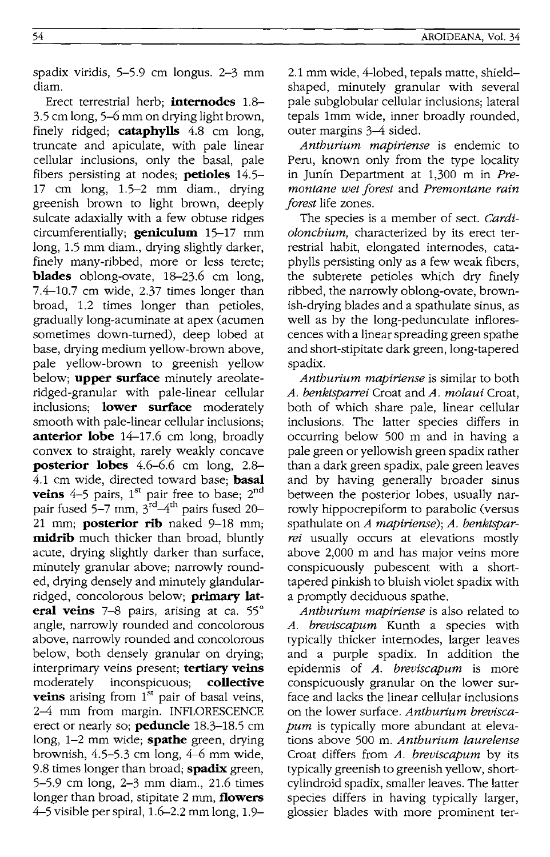spadix viridis, 5-5.9 cm longus. 2-3 mm diam.

Erect terrestrial herb; **internodes** 1.8-  $3.5$  cm long,  $5-6$  mm on drying light brown, finely ridged; **cataphylls** 4.8 cm long, truncate and apiculate, with pale linear cellular inclusions, only the basal, pale fibers persisting at nodes; **petioles** 14.5- 17 cm long, 1.5-2 mm diam., drying greenish brown to light brown, deeply sulcate adaxially with a few obtuse ridges circumferentially; **geniculum** 15-17 mm long, 1.5 mm diam., drying slightly darker, finely many-ribbed, more or less terete; **blades** oblong-ovate, 18-23.6 cm long, 7.4-10.7 cm wide, 2.37 times longer than broad, 1.2 times longer than petioles, gradually long-acuminate at apex (acumen sometimes down-turned), deep lobed at base, drying medium yellow-brown above, pale yellow-brown to greenish yellow below; **upper surface** minutely areolateridged-granular with pale-linear cellular inclusions; **lower surface** moderately smooth with pale-linear cellular inclusions; **anterior lobe** 14-17.6 cm long, broadly convex to straight, rarely weakly concave **posterior lobes** 4.6-6.6 cm long, 2.8-4.1 cm wide, directed toward base; **basal veins**  $4-5$  pairs,  $1^{st}$  pair free to base;  $2^{nd}$ pair fused 5–7 mm,  $3^{\rm rd}\!\!-\!\!4^{\rm th}$  pairs fused 20– 21 mm; **posterior rib** naked 9-18 mm; **midrib** much thicker than broad, bluntly acute, drying slightly darker than surface, minutely granular above; narrowly rounded, drying densely and minutely glandularridged, concolorous below; **primary lateral veins** 7-8 pairs, arising at ca. 55° angle, narrowly rounded and concolorous above, narrowly rounded and concolorous below, both densely granular on drying; interprimary veins present; **tertiary veins**  moderately inconspicuous; **collective veins** arising from 1<sup>st</sup> pair of basal veins, 2-4 mm from margin. INFLORESCENCE erect or nearly so; **peduncle** 18.3-18.5 cm long, 1-2 mm wide; **spathe** green, drying brownish,  $4.5-5.3$  cm long,  $4-6$  mm wide, 9.8 times longer than broad; **spadix** green, 5-5.9 cm long, 2-3 mm diam., 21.6 times longer than broad, stipitate 2 mm, **flowers**  4-5 visible per spiral, 1.6-2.2 mm long, 1.92.1 mm wide, 4-lobed, tepals matte, shieldshaped, minutely granular with several pale subglobular cellular inclusions; lateral tepals 1mm wide, inner broadly rounded, outer margins 3-4 sided.

*Anthurium mapiriense* is endemic to Peru, known only from the type locality in Junín Department at 1,300 m in Pre*montane wet forest* and *Premontane rain forest* life zones.

The species is a member of sect. *Cardiolonchium,* characterized by its erect terrestrial habit, elongated internodes, cataphylls persisting only as a few weak fibers, the subterete petioles which dry finely ribbed, the narrowly oblong-ovate, brownish-drying blades and a spathulate sinus, as well as by the long-pedunculate inflorescences with a linear spreading green spathe and short-stipitate dark green, long-tapered spadix.

*Anthurium mapiriense* is similar to both *A. benktsparrei* Croat and *A. molaui* Croat, both of which share pale, linear cellular inclusions. The latter species differs in occurring below 500 m and in having a pale green or yellowish green spadix rather than a dark green spadix, pale green leaves and by having generally broader sinus between the posterior lobes, usually narrowly hippocrepiform to parabolic (versus spathulate on *A mapiriense); A. benktsparrei* usually occurs at elevations mostly above 2,000 m and has major veins more conspicuously pubescent with a shorttapered pinkish to bluish violet spadix with a promptly deciduous spathe.

*Anthurium mapiriense* is also related to *A. breviscapum* Kunth a species with typically thicker internodes, larger leaves and a purple spadix. In addition the epidermis of A. *breviscapum* is more conspicuously granular on the lower surface and lacks the linear cellular inclusions on the lower surface. *Anthurium breviscapum* is typically more abundant at elevations above 500 m. *Antburium laurelense*  Croat differs from *A. breviscapum* by its typically greenish to greenish yellow, shortcylindroid spadix, smaller leaves. The latter species differs in having typically larger, glossier blades with more prominent ter-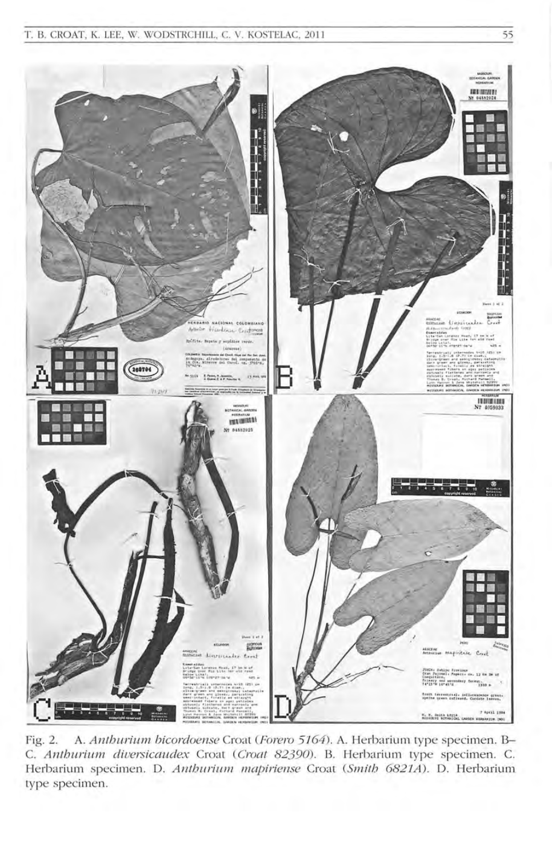

A. Anthurium bicordoense Croat (Forero 5164). A. Herbarium type specimen. B-Fig. 2. C. Anthurium diversicaudex Croat (Croat 82390). B. Herbarium type specimen. C. Herbarium specimen. D. Anthurium mapiriense Croat (Smith 6821A). D. Herbarium type specimen.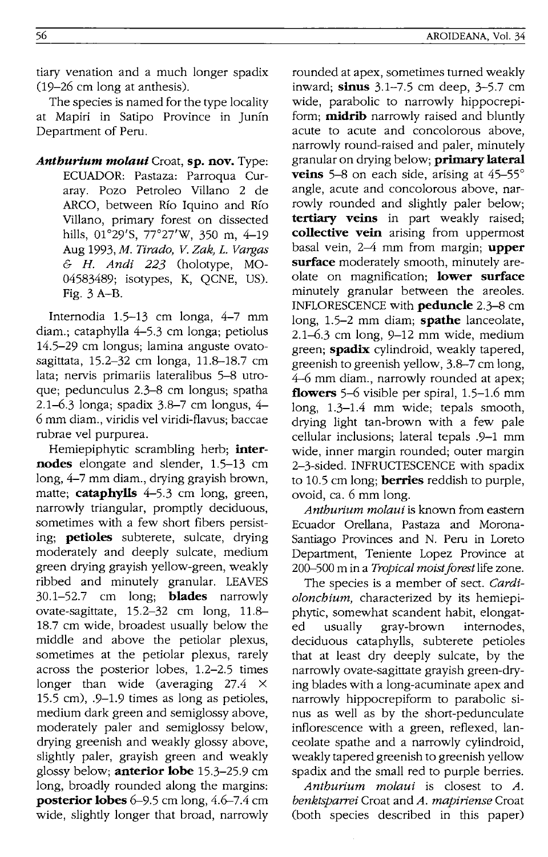tiary venation and a much longer spadix (19-26 cm long at anthesis).

The species is named for the type locality at Mapiri in Satipo Province in Junin Department of Peru.

*Anthurlum molaui* Croat, **sp. nov.** Type: ECUADOR: Pastaza: Parroqua Curaray. Pozo Petroleo Villano 2 de ARCO, between Rio Iquino and Rio Villano, primary forest on dissected hills, 01°29'S, 77°27'W, 350 m, 4-19 Aug *1993,M. Tirado, V. Zak,* L. *Vatgas*  & *H. Andi* 223 (holotype, MO-04583489; isotypes, K, QCNE, US). Fig. 3 A-B.

Internodia 1.5-13 cm longa, 4-7 mm diam.; cataphylla 4-5.3 cm longa; petiolus 14.5-29 cm longus; lamina anguste ovatosagittata, 15.2-32 cm longa, 11.8-18.7 cm lata; nervis primariis lateralibus 5-8 utroque; pedunculus 2.3-8 cm longus; spatha  $2.1 - 6.3$  longa; spadix  $3.8 - 7$  cm longus,  $4 -$ 6 mm diam., viridis vel viridi-flavus; baccae rubrae vel purpurea.

Hemiepiphytic scrambling herb; **internodes** elongate and slender, 1.5-13 cm long, 4-7 mm diam., drying grayish brown, matte; **cataphylls** 4-5.3 cm long, green, narrowly triangular, promptly deciduous, sometimes with a few short fibers persisting; **petioles** subterete, sulcate, drying moderately and deeply sulcate, medium green drying grayish yellow-green, weakly ribbed and minutely granular. LEAVES 30.1-52.7 cm long; **blades** narrowly ovate-sagittate, 15.2-32 cm long, 11.8- 18.7 cm wide, broadest usually below the middle and above the petiolar plexus, sometimes at the petiolar plexus, rarely across the posterior lobes, 1.2-2.5 times longer than wide (averaging 27.4  $\times$ 15.5 cm), .9-1.9 times as long as petioles, medium dark green and semiglossy above, moderately paler and semiglossy below, drying greenish and weakly glossy above, slightly paler, grayish green and weakly glossy below; **anterior lobe** 15.3-25.9 cm long, broadly rounded along the margins: **posterior lobes** 6-9.5 cm long, 4.6-7.4 cm wide, slightly longer that broad, narrowly

rounded at apex, sometimes turned weakly inward; **sinus** 3.1-7.5 cm deep, 3-5.7 cm wide, parabolic to narrowly hippocrepiform; **midrib** narrowly raised and bluntly acute to acute and concolorous above, narrowly round-raised and paler, minutely granular on drying below; **primary lateral veins** 5-8 on each side, arising at 45-55° angle, acute and concolorous above, narrowly rounded and slightly paler below; **tertiary veins** in part weakly raised; **collective vein** arising from uppermost basal vein, 2-4 mm from margin; **upper surface** moderately smooth, minutely areolate on magnification; **lower surface**  minutely granular between the areoles. INFLORESCENCE with **peduncle** 2.3-8 cm long, 1.5-2 mm diam; **spathe** lanceolate,  $2.1-6.3$  cm long,  $9-12$  mm wide, medium green; **spadix** cylindroid, weakly tapered, greenish to greenish yellow, 3.8-7 cm long, 4-6 mm diam., narrowly rounded at apex; **flowers** 5-6 visible per spiral, 1.5-1.6 mm long, 1.3-1.4 mm wide; tepals smooth, drying light tan-brown with a few pale cellular inclusions; lateral tepals .9-1 mm wide, inner margin rounded; outer margin 2-3-sided. INFRUCTESCENCE with spadix to 10.5 cm long; **berries** reddish to purple, ovoid, ca. 6 mm long.

*Anthurium molaui* is known from eastern Ecuador Orellana, Pastaza and Morona-Santiago Provinces and N. Peru in Loreto Department, Teniente Lopez Province at 200-500 m in a *Tropical moist forest* life zone.

The species is a member of sect. *Cardiolonchium,* characterized by its hemiepiphytic, somewhat scandent habit, elongated usually gray-brown internodes, deciduous cataphylls, subterete petioles that at least dry deeply sulcate, by the narrowly ovate-sagittate grayish green-drying blades with a long-acuminate apex and narrowly hippocrepiform to parabolic sinus as well as by the short-pedunculate inflorescence with a green, reflexed, lanceolate spathe and a narrowly cylindroid, weakly tapered greenish to greenish yellow spadix and the small red to purple berries.

*Anthurium molaui* is closest to *A. benktsparrei* Croat and *A. mapiriense* Croat (both species described in this paper)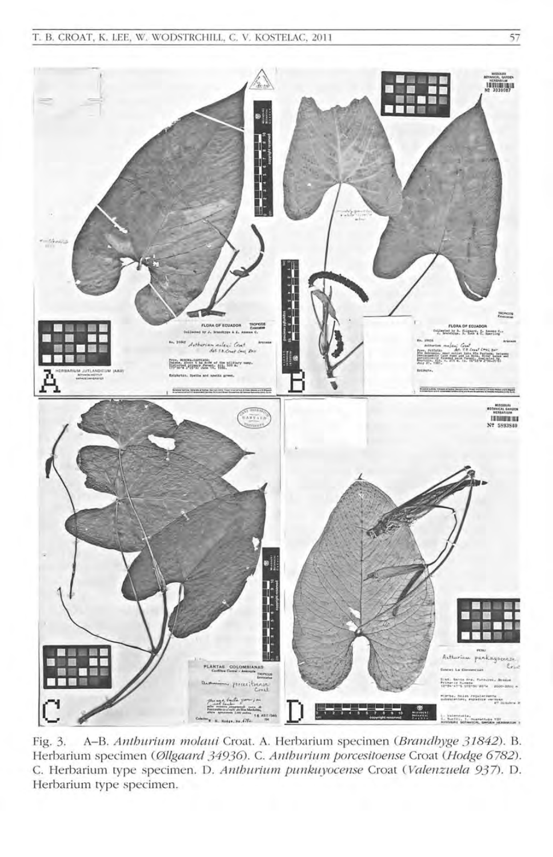

A-B. Anthurium molaui Croat. A. Herbarium specimen (Brandbyge 31842). B. Fig. 3. Herbarium specimen (Øllgaard 34936). C. Anthurium porcesitoense Croat (Hodge 6782). C. Herbarium type specimen. D. Anthurium punkuyocense Croat (Valenzuela 937). D. Herbarium type specimen.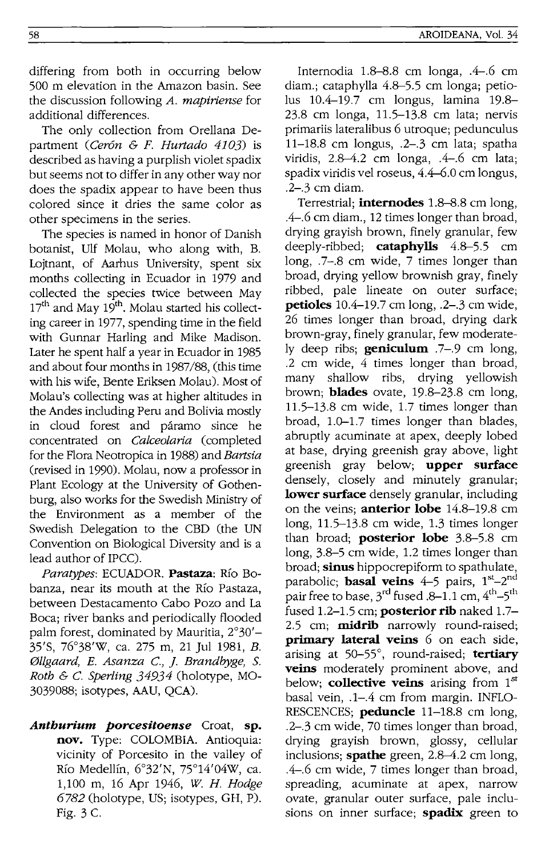differing from both in occurring below 500 m elevation in the Amazon basin. See the discussion following *A. mapiriense* for additional differences.

The only collection from Orellana Department *(Ceron* & *F. Hurtado* 4103) is described as having a purplish violet spadix but seems not to differ in any other way nor does the spadix appear to have been thus colored since it dries the same color as other specimens in the series.

The species is named in honor of Danish botanist, Ulf Molau, who along with, B. Lojtnant, of Aarhus University, spent six months collecting in Ecuador in 1979 and collected the species twice between May 17<sup>th</sup> and May 19<sup>th</sup>. Molau started his collecting career in 1977, spending time in the field with Gunnar Harling and Mike Madison. Later he spent half a year in Ecuador in 1985 and about four months in 1987/88, (this time with his wife, Bente Eriksen Molau). Most of Molau's collecting was at higher altitudes in the Andes including Peru and Bolivia mostly in cloud forest and páramo since he concentrated on *Calceolaria* (completed for the Flora Neotropica in 1988) and *Bartsia*  (revised in 1990). Molau, now a professor in Plant Ecology at the University of Gothenburg, also works for the Swedish Ministry of the Environment as a member of the Swedish Delegation to the CBD (the UN Convention on Biological Diversity and is a lead author of IPCC).

*Paratypes:* ECUADOR. **Pastaza:** Rio Bobanza, near its mouth at the Rio Pastaza, between Destacamento Cabo Pozo and La Boca; river banks and periodically flooded palm forest, dominated by Mauritia, 2°30'- 35'S, 76°38'W, ca. 275 m, 21 Jul 1981, *B. 011gaard, E. Asanza* c., ]. *Brandbyge,* S. *Roth* & C. *Sperling* 34934 (holotype, MO-3039088; isotypes, AAU, QCA).

*Anthurlum porcesitoense* Croat, **sp. nov.** Type: COLOMBIA. Antioquia: vicinity of Porcesito in the valley of Río Medellín, 6°32'N, 75°14'04W, ca. 1,100 m, 16 Apr 1946, *W. H. Hodge*  6782 (holotype, US; isotypes, GH, P). Fig. 3 C.

Internodia  $1.8-8.8$  cm longa,  $.4-6$  cm diam.; cataphylla 4.8–5.5 cm longa; petiolus 10.4-19.7 cm longus, lamina 19.8-23.8 cm longa, 11.5-13.8 cm lata; nervis primariis lateralibus 6 utroque; pedunculus  $11-18.8$  cm longus, .2-.3 cm lata; spatha viridis,  $2.8-4.2$  cm longa,  $.4-6$  cm lata; spadix viridis vel roseus, 4.4-6.0 cm longus, .2-.3 cm diam.

Terrestrial; **internodes** 1.8–8.8 cm long, .4-.6 cm diam., 12 times longer than broad, drving grayish brown, finely granular, few deeply-ribbed; **cataphylls** 4.8--5.5 cm long, .7-.8 cm wide, 7 times longer than broad, drying yellow brownish gray, finely ribbed, pale lineate on outer surface; **petioles** 10.4-19.7 cm long, .2-.3 cm wide, 26 times longer than broad, drying dark brown-gray, finely granular, few moderately deep ribs; **geniculum** .7-.9 cm long, .2 cm wide, 4 times longer than broad, many shallow ribs, drying yellowish brown; **blades** ovate, 19.8–23.8 cm long, 11.5-13.8 cm wide, 1.7 times longer than broad, 1.0-1.7 times longer than blades, abruptly acuminate at apex, deeply lobed at base, drying greenish gray above, light greenish gray below; **upper surface**  densely, closely and minutely granular; **lower surface** densely granular, including on the veins; **anterior lobe** 14.8--19.8 cm long, 11.5-13.8 cm wide, 1.3 times longer than broad; **posterior lobe** 3.8-5.8 cm  $long, 3.8-5$  cm wide, 1.2 times longer than broad; **sinus** hippocrepiform to spathulate, parabolic; **basal veins** 4–5 pairs, 1<sup>st</sup>–2<sup>nd</sup> pair free to base, 3<sup>rd</sup> fused .8–1.1 cm, 4<sup>th</sup>–5<sup>th</sup> fused 1.2-1.5 cm; **posterior rib** naked 1.7- 2.5 cm; **midrib** narrowly round-raised; **primary lateral veins** 6 on each side, arising at 50-55°, round-raised; **tertiary veins** moderately prominent above, and below; **collective veins** arising from 15t basal vein, .1-.4 cm from margin. INFLO-RESCENCES; **peduncle** 11-18.8 cm long, .2-.3 cm wide, 70 times longer than broad, drying grayish brown, glossy, cellular inclusions; **spathe** green, 2.8–4.2 cm long, .4-.6 cm wide, 7 times longer than broad, spreading, acuminate at apex, narrow ovate, granular outer surface, pale inclusions on inner surface; **spadix** green to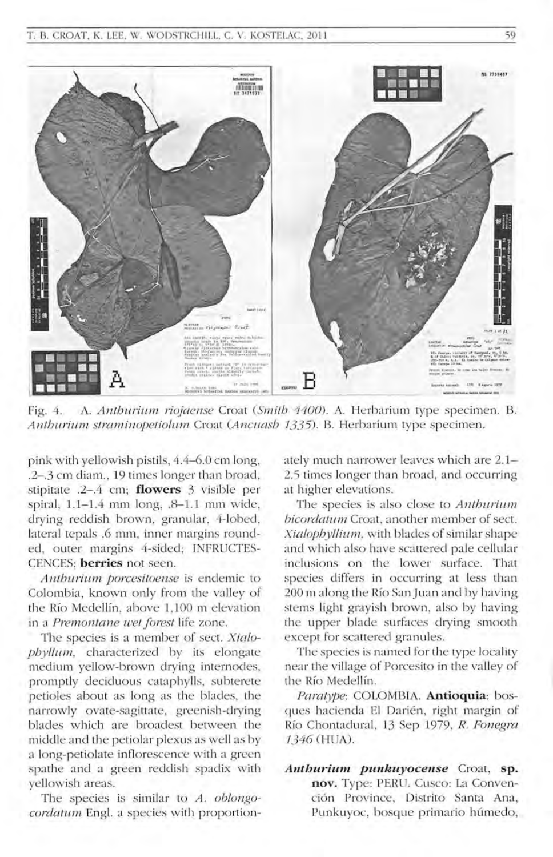

Fig. 4. A. *Anthurium riojaense Croat (Smith 4400)*. A. Herbarium type specimen. B. *Anthurium straminopetiolum Croat (Ancuash 1335)*. B. Herbarium type specimen.

pink with yellowish pistils, 4.4-6.0 cm long, .2-.3 cm diam., 19 times longer than broad, stipitate .2-.4 cm; **flowers** 3 visible per spiral, 1.1-1.4 mm long, .8-1.1 mm wide, drying reddish brown, granular, 4-lobed, lateral tepals .6 mm, inner margins rounded, outer margins 4-sided; INFRUCTES-CENCES; **berries** not seen.

*Anthurium porcesiloense* is endemic to Colombia, known only from the valley of the Río Medellín, above 1,100 m elevation in a *Premontane wet forest* life zone.

The species is a member of sect. *Xialophyllum*, characterized by its elongate medium yellow-brown drying internodes, promptly deciduous cataphylls, subterete petioles about as long as the blades, the narrowly ovate-sagittate, greenish-drying blades which are broadest between the middle and the petiolar plexus as well as by a long-petiolate inflorescence with a green spathe and a green reddish spadix with yellowish areas.

The species is similar to *A. oblongocordatum* Engl. a species with proportionately much narrower leaves which are 2.1-2.5 times longer than broad, and occurring at higher elevations.

The species is also close to *Anthurium bicordatum* Croat, another member of sect. *Xialophyllium*, with blades of similar shape and which also have scattered pale cellular inclusions on the lower surface. That species differs in occurring at less than 200 m along the Río San Juan and by having stems light grayish brown, also by having the upper blade surfaces drying smooth except for scattered granules.

The species is named for the type locality near the village of Porcesito in the valley of the Río Medellín.

*Paratype:* COLOMBIA. **Antioquia:** bosques hacienda El Darién, right margin of Río Chontadural, 13 Sep 1979, *R. Fonegra* 7346 (HUA).

**Anthurium punkuyocense** Croat, sp. nov. Type: PERU. Cusco: La Convenci6n Province, Distrito Santa Ana, Punkuyoc, bosque primario húmedo,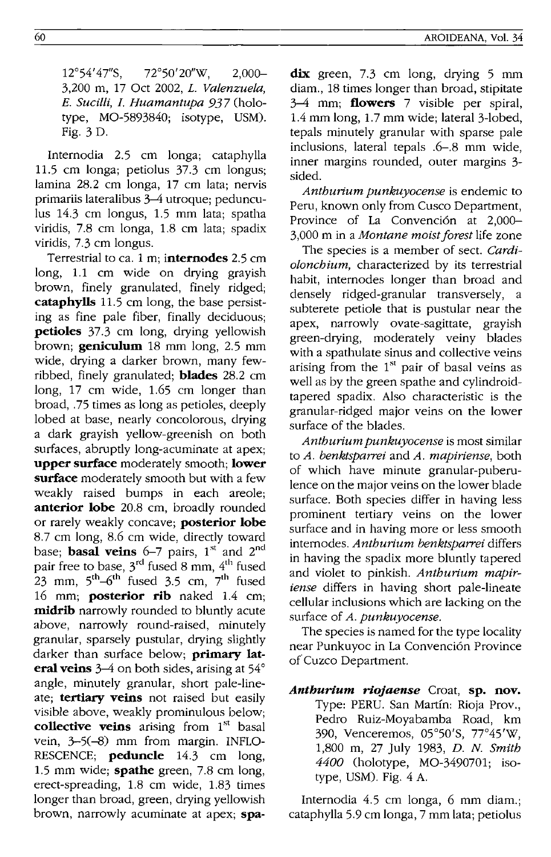12°54'47"S, 72°50'20"W, 2,000- 3,200 m, 17 Oct 2002, *L Valenzuela, E. Sucilli, I. Huamantupa* 937 (holotype, MO-5893840; isotype, USM). Fig. 3 D.

Internodia 2.5 cm longa; cataphylla 11.5 cm longa; petiolus 37.3 cm longus; lamina 28.2 cm longa, 17 cm lata; nervis primariis lateralibus 3-4 utroque; pedunculus 14.3 cm longus, 1.5 mm lata; spatha viridis, 7.8 cm longa, 1.8 cm lata; spadix viridis, 7.3 cm longus.

Terrestrial to ca. 1 m; **internodes** 2.5 cm long, 1.1 cm wide on drying grayish brown, finely granulated, finely ridged; **cataphylls** 11.5 cm long, the base persisting as fine pale fiber, finally deciduous; **petioles** 37.3 cm long, drying yellowish brown; **geniculum** 18 mm long, 2.5 mm wide, drying a darker brown, many fewribbed, finely granulated; **blades** 28.2 cm long, 17 cm wide, 1.65 cm longer than broad, .75 times as long as petioles, deeply lobed at base, nearly concolorous, drying a dark grayish yellow-greenish on both surfaces, abruptly long-acuminate at apex; **upper surface** moderately smooth; **lower surface** moderately smooth but with a few weakly raised bumps in each areole; **anterior lobe** 20.8 cm, broadly rounded or rarely weakly concave; **posterior lobe**  8.7 cm long, 8.6 cm wide, directly toward base; **basal veins** 6-7 pairs, 1<sup>st</sup> and 2<sup>nd</sup> pair free to base,  $3<sup>rd</sup>$  fused 8 mm,  $4<sup>th</sup>$  fused 23 mm,  $5<sup>th</sup>-6<sup>th</sup>$  fused 3.5 cm,  $7<sup>th</sup>$  fused 16 mm; **posterior rib** naked 1.4 cm; **midrib** narrowly rounded to bluntly acute above, narrowly round-raised, minutely granular, sparsely pustular, drying slightly darker than surface below; **primary lateral veins** 3-4 on both sides, arising at 54° angle, minutely granular, short pale-lineate; **tertiary veins** not raised but easily visible above, weakly prominulous below; **collective veins** arising from 1<sup>st</sup> basal vein, 3-5(-8) mm from margin. INFLO-RESCENCE; **peduncle** 14.3 cm long, 1.5 mm wide; **spathe** green, 7.8 cm long, erect-spreading, 1.8 cm wide, 1.83 times longer than broad, green, drying yellowish brown, narrowly acuminate at apex; **spa-**

**dix** green, 7.3 cm long, drying 5 mm diam., 18 times longer than broad, stipitate 3-4 mm; **flowers** 7 visible per spiral, 1.4 mm long, 1.7 mm wide; lateral 3-lobed, tepals minutely granular with sparse pale inclusions, lateral tepals .6-.8 mm wide, inner margins rounded, outer margins 3 sided.

*Anthurium punkuyocense* is endemic to Peru, known only from Cusco Department, Province of La Convención at 2,000-3,000 m in a *Montane moist forest* life zone

The species is a member of sect. *Cardiolonchium,* characterized by its terrestrial habit, internodes longer than broad and densely ridged-granular transversely, subterete petiole that is pustular near the apex, narrowly ovate-sagittate, grayish green-drying, moderately veiny blades with a spathulate sinus and collective veins arising from the  $1<sup>st</sup>$  pair of basal veins as well as by the green spathe and cylindroidtapered spadix. Also characteristic is the granular-ridged major veins on the lower surface of the blades.

*Anthurium punkuyocense* is most similar to *A. benktsparrei* and *A. mapiriense,* both of which have minute granular-puberulence on the major veins on the lower blade surface. Both species differ in having less prominent tertiary veins on the lower surface and in having more or less smooth internodes. Anthurium benktsparrei differs in having the spadix more bluntly tapered and violet to pinkish. *Anthurium mapiriense* differs in having short pale-lineate cellular inclusions which are lacking on the surface of *A. punkuyocense.* 

The species is named for the type locality near Punkuyoc in La Convención Province of Cuzco Department.

*Anthurium riojaense* Croat, **sp. nov.**  Type: PERU. San Martin: Rioja Prov., Pedro Ruiz-Moyabamba Road, km 390, Venceremos, 05°50'S, 77"45'W, 1,800 m, 27 July 1983, *D.* N. *Smith 4400* (holotype, MO-3490701; isotype, USM). Fig. 4 A.

Internodia 4.5 cm longa, 6 mm diam.; cataphylla 5.9 cm longa, 7 mm lata; petiolus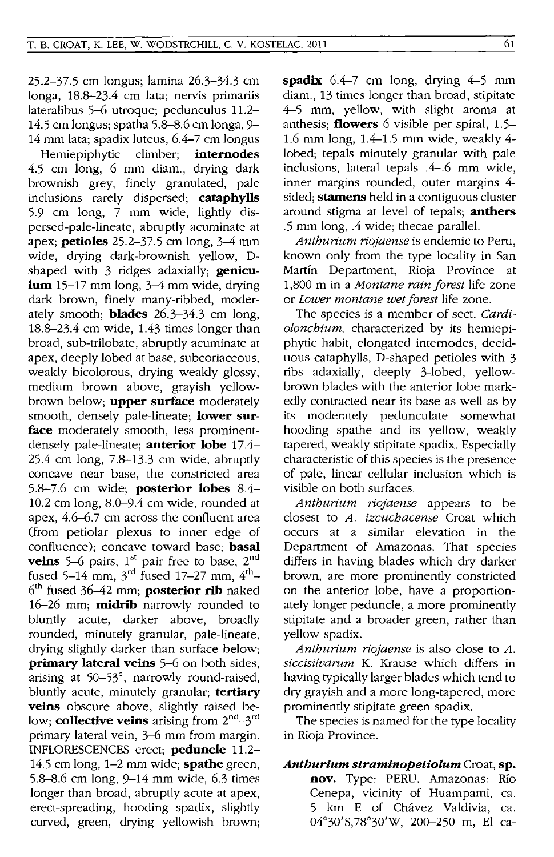25.2-37.5 cm longus; lamina 26.3-34.3 cm longa, 18.8-23.4 cm lata; nervis primariis lateralibus 5-6 utrogue; pedunculus 11.2- 14.5 cm longus; spatha 5.8-8.6 cm longa, 9- 14 mm lata; spadix luteus, 6.4-7 cm longus

Hemiepiphytic climber; **internodes**  4.5 cm long, 6 mm diam., drying dark brownish grey, finely granulated, pale inclusions rarely dispersed; **cataphylls**  5.9 cm long, 7 mm wide, lightly dispersed-pale-lineate, abruptly acuminate at apex; **petioles** 25.2-37.5 cm long, 3-4 mm wide, drying dark-brownish yellow, Dshaped with 3 ridges adaxially; **geniculum** 15-17 mm long, 3-4 mm wide, drying dark brown, finely many-ribbed, moderately smooth; **blades** 26.3-34.3 cm long, 18.8-23.4 cm wide, 1.43 times longer than broad, sub-trilobate, abruptly acuminate at apex, deeply lobed at base, subcoriaceous, weakly bicolorous, drying weakly glossy, medium brown above, grayish yellowbrown below; **upper surface** moderately smooth, densely pale-lineate; **lower surface** moderately smooth, less prominentdensely pale-lineate; **anterior lobe** 17.4- 25.4 cm long, 7.8-13.3 cm wide, abmptly concave near base, the constricted area 5.8-7.6 cm wide; **posterior lobes** 8.4- 10.2 cm long, 8.0-9.4 cm wide, rounded at apex, 4.6-6.7 cm across the confluent area (from petiolar plexus to inner edge of confluence); concave toward base; **basal**  veins 5-6 pairs, 1<sup>st</sup> pair free to base, 2<sup>nd</sup> fused 5-14 mm,  $3^{\text{rd}}$  fused 17-27 mm,  $4^{\text{th}}$ -6th fused 36-42 mm; **posterior rib** naked 16-26 mm; **midrib** narrowly rounded to bluntly acute, darker above, broadly rounded, minutely granular, pale-lineate, drying slightly darker than surface below; **primary lateral veins** 5-6 on both sides, arising at 50-53°, narrowly round-raised, bluntly acute, minutely granular; **tertiary veins** obscure above, slightly raised below: **collective veins** arising from  $2^{nd} - 3^{rd}$ primary lateral vein, 3-6 mm from margin. INFLORESCENCES erect; **peduncle** 11.2- 14.5 cm long, 1-2 mm wide; **spathe** green, 5.8-8.6 cm long, 9-14 mm wide, 6.3 times longer than broad, abruptly acute at apex, erect-spreading, hooding spadix, slightly curved, green, drying yellowish brown;

**spadix** 6.4-7 cm long, drying 4-5 mm diam., 13 times longer than broad, stipitate 4-5 mm, yellow, with slight aroma at anthesis; **flowers** 6 visible per spiral, 1.5- 1.6 mm long, 1.4-1.5 mm wide, weakly 4 lobed; tepals minutely granular with pale inclusions, lateral tepals .4-.6 mm wide, inner margins rounded, outer margins 4 sided; **stamens** held in a contiguous cluster around stigma at level of tepals; **anthers**  .5 mm long, .4 wide; thecae parallel.

*Anthurium riojaense* is endemic to Pem, known only from the type locality in San Martin Department, Rioja Province at 1,800 m in a *Montane rain forest* life zone or *Lower montane wet forest* life zone.

The species is a member of sect. *Cardiolonchium,* characterized by its hemiepiphytic habit, elongated internodes, deciduous cataphylls, D-shaped petioles with 3 ribs adaxially, deeply 3-10bed, yellowbrown blades with the anterior lobe markedly contracted near its base as well as by its moderately pedunculate somewhat hooding spathe and its yellow, weakly tapered, weakly stipitate spadix. Especially characteristic of this species is the presence of pale, linear cellular inclusion which is visible on both surfaces.

*Anthurium riojaense* appears to be closest to *A. izcuchacense* Croat which occurs at a similar elevation in the Department of Amazonas. That species differs in having blades which dry darker brown, are more prominently constricted on the anterior lobe, have a proportionately longer peduncle, a more prominently stipitate and a broader green, rather than yellow spadix.

*Anthurium riojaense* is also close to *A. siccisilvarum* K. Krause which differs in having typically larger blades which tend to dry grayish and a more long-tapered, more prominently stipitate green spadix.

The species is named for the type locality in Rioja Province.

# *Anthurium straminopetiolum* Croat, **sp. nov.** Type: PERU. Amazonas: RIO Cenepa, vicinity of Huampami, ca. 5 km E of Chavez Valdivia, ca. 04°30'S,78°30'W, 200-250 m, El ca-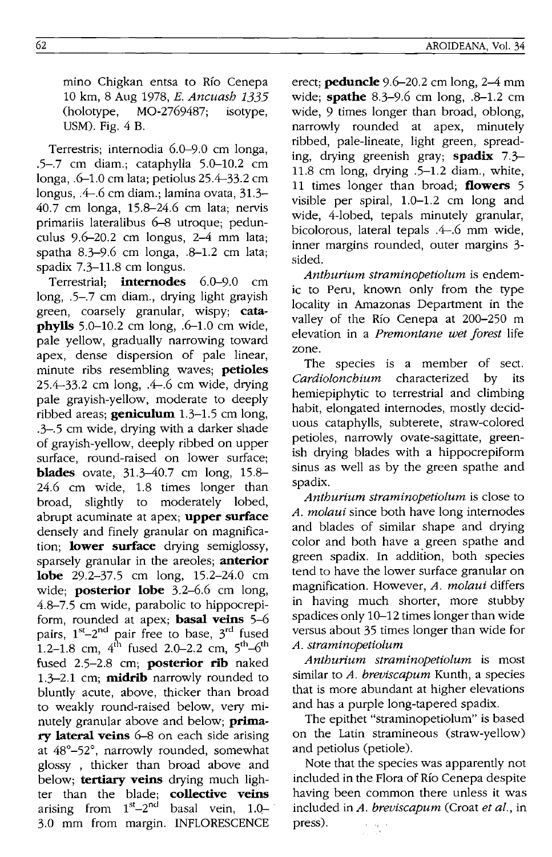mino Chigkan entsa to Río Cenepa 10 km, 8 Aug 1978, *E. Ancuash 1335*  MO-2769487; isotype, USM). Fig. 4 B.

Terrestris; internodia 6.0-9.0 em longa, .5-.7 em diam.; eataphylla 5.0-10.2 em longa, .6-1.0 em lata; petiolus 25.4-33.2 em longus, .4-.6 em diam.; lamina ovata, 31.3- 40.7 em longa, 15.8-24.6 em lata; nervis primariis lateralibus 6-8 utroque; pedunculus 9.6-20.2 cm longus, 2-4 mm lata; spatha 8.3-9.6 cm longa, .8-1.2 em lata; spadix 7.3-11.8 cm longus.

Terrestrial; **internodes** 6.0-9.0 cm long, .5-.7 em diam., drying light grayish green, coarsely granular, wispy; **cataphylls** 5.0–10.2 cm long, .6–1.0 cm wide, pale yellow, gradually narrowing toward apex, dense dispersion of pale linear, minute ribs resembling waves; **petioles**  25.4-33.2 em long, .4-.6 cm wide, drying pale grayish-yellow, moderate to deeply ribbed areas; **geniculum** 1.3-1.5 cm long, .3-.5 em wide, drying with a darker shade of grayish-yellow, deeply ribbed on upper surface, round-raised on lower surface; **blades** ovate, 31.3-40.7 cm long, 15.8-24.6 em wide, 1.8 times longer than broad, slightly to moderately lobed, abrupt acuminate at apex; **upper surface**  densely and finely granular on magnification; **lower surface** drying semiglossy, sparsely granular in the areoles; **anterior lobe** 29.2-37.5 em long, 15.2-24.0 cm wide; **posterior lobe** 3.2-6.6 em long, 4.8-7.5 cm wide, parabolic to hippocrepiform, rounded at apex; **basal veins** 5-6 pairs,  $1^{st}-2^{nd}$  pair free to base,  $3^{rd}$  fused 1.2-1.8 cm,  $4^{th}$  fused 2.0-2.2 cm,  $5^{th}$ -6<sup>th</sup> fused 2.5-2.8 cm; **posterior rib** naked 1.3-2.1 cm; **midrib** narrowly rounded to bluntly acute, above, thicker than broad to weakly round-raised below, very minutely granular above and below; **primary lateral veins** 6-8 on each side arising at 48°-52°, narrowly rounded, somewhat glossy , thicker than broad above and below; **tertiary veins** drying much lighter than the blade; **collective veins**  arising from  $1^{st}-2^{nd}$  basal vein,  $1.0-$ . 3.0 mm from margin. INFLORESCENCE

erect; **peduncle** 9.6-20.2 em long, 2-4 mm wide; **spathe** 8.3-9.6 em long, .8-1.2 cm wide, 9 times longer than broad, oblong, narrowly rounded at apex, minutely ribbed, pale-lineate, light green, spreading, drying greenish gray; **spadix** 7.3- 11.8 cm long, drying .5-1.2 diam., white, 11 times longer than broad; **flowers** 5 visible per spiral, 1.0-1.2 cm long and wide, 4-lobed, tepals minutely granular, bicolorous, lateral tepals .4-.6 mm wide, inner margins rounded, outer margins 3 sided.

*Anthurium straminopetiolum* is endemic to Peru, known only from the type locality in Amazonas Department in the valley of the Río Cenepa at 200-250 m elevation in a *Premontane wet forest* life zone.

The species is a member of sect. *Cardiolonchium* characterized by its hemiepiphytic to terrestrial and climbing habit, elongated internodes, mostly deciduous eataphylls, subterete, straw-colored petioles, narrowly ovate-sagittate, greenish drying blades with a hippocrepiform sinus as well as by the green spathe and spadix.

*Anthurium straminopetiolum* is close to *A. molaui* since both have long internodes and blades of similar shape and drying color and both have a green spathe and green spadix. In addition, both species tend to have the lower surface granular on magnification. However, *A. molaui* differs in having much shorter, more stubby spadices only 10-12 times longer than wide versus about 35 times longer than wide for *A. straminopetiolum* 

*Anthurium straminopetiolum* is most similar to *A. breviscapum* Kunth, a species that is more abundant at higher elevations and has a purple long-tapered spadix.

The epithet "straminopetiolum" is based on the Latin stramineous (straw-yellow) and petiolus (petiole).

Note that the species was apparently not included in the Flora of RIO Cenepa despite having been common there unless it was included in *A. breviscapum* (Croat *et al.,* in press).